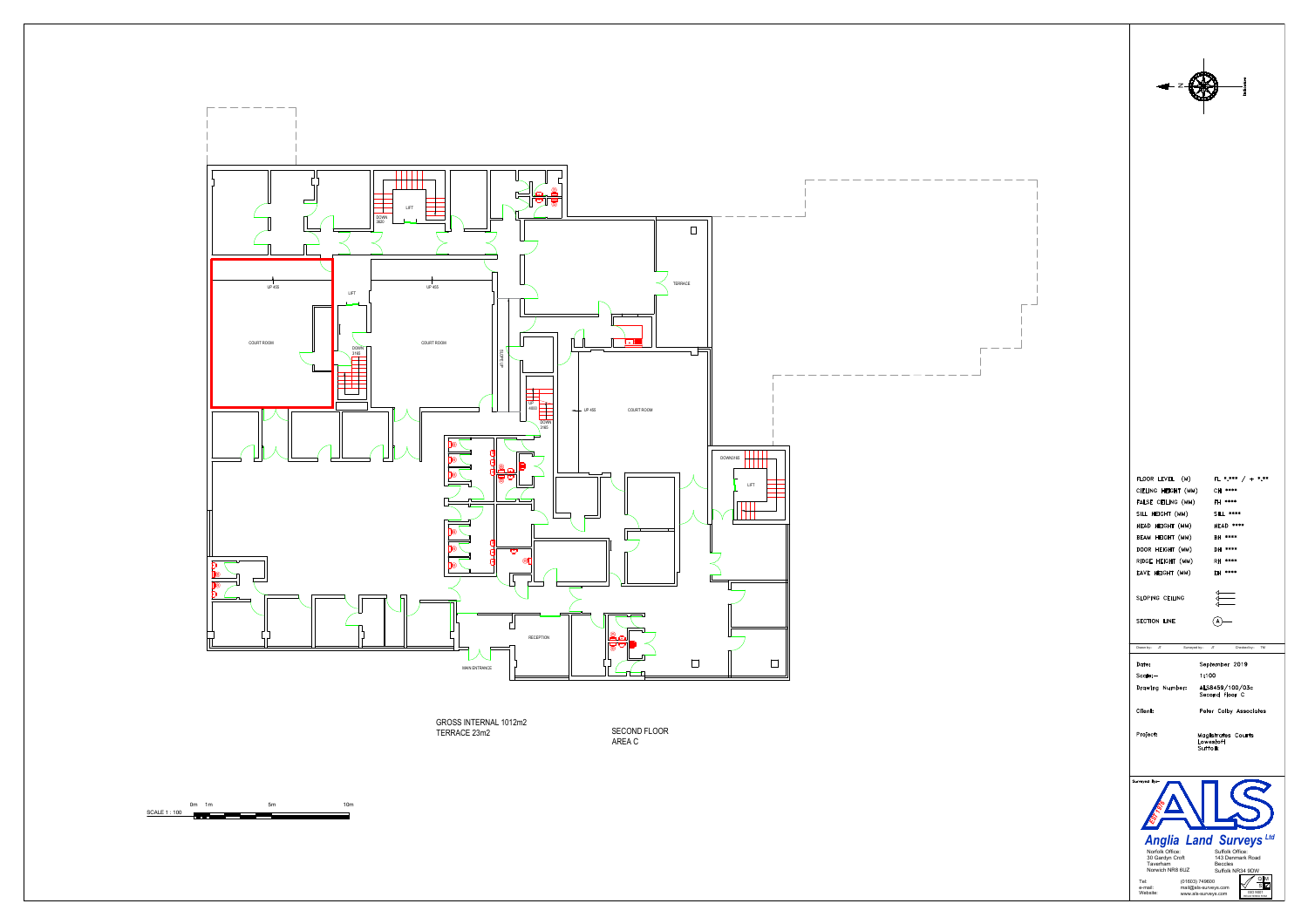



SECOND FLOOR<br>AREA C

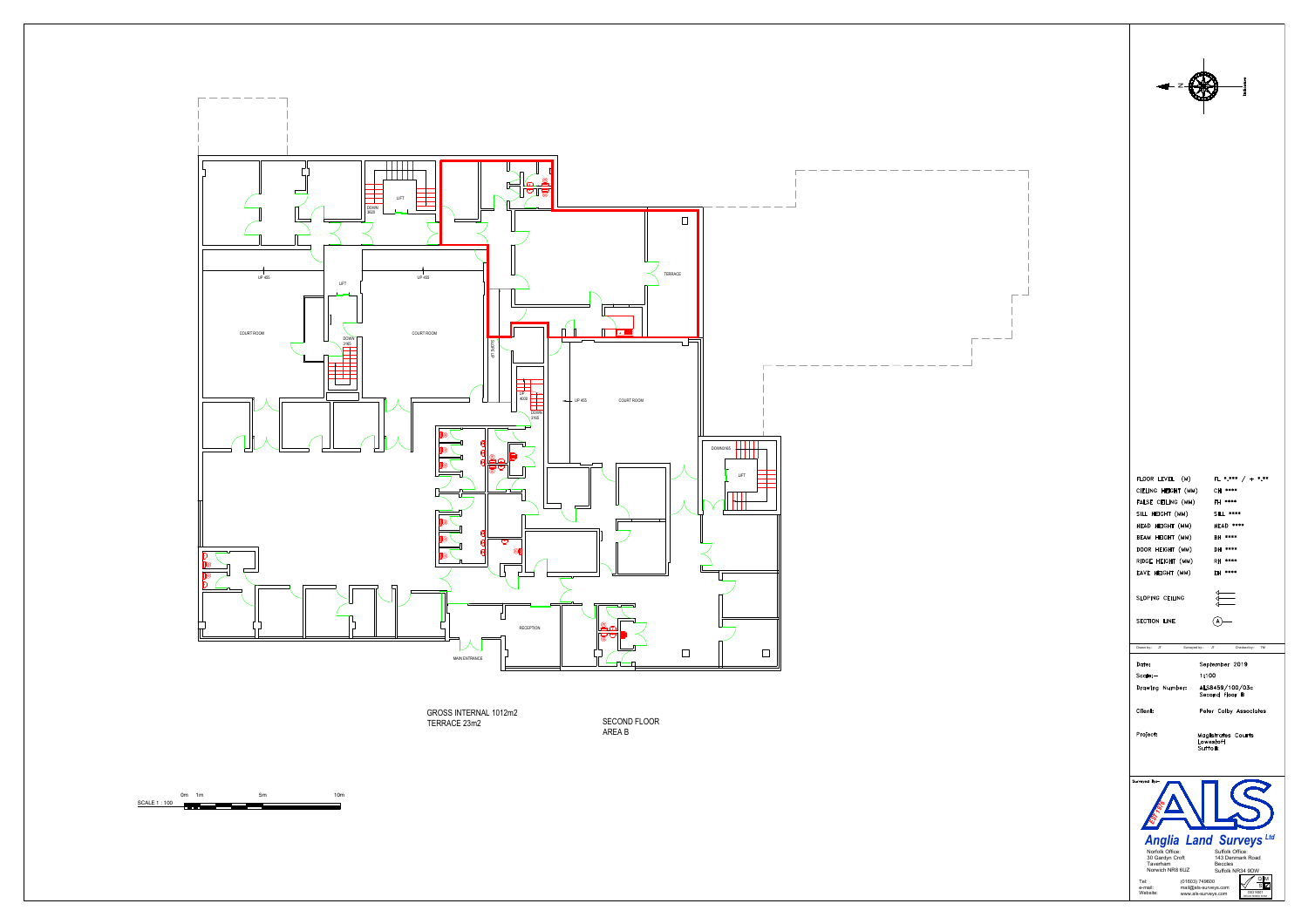



SECOND FLOOR<br>AREA B

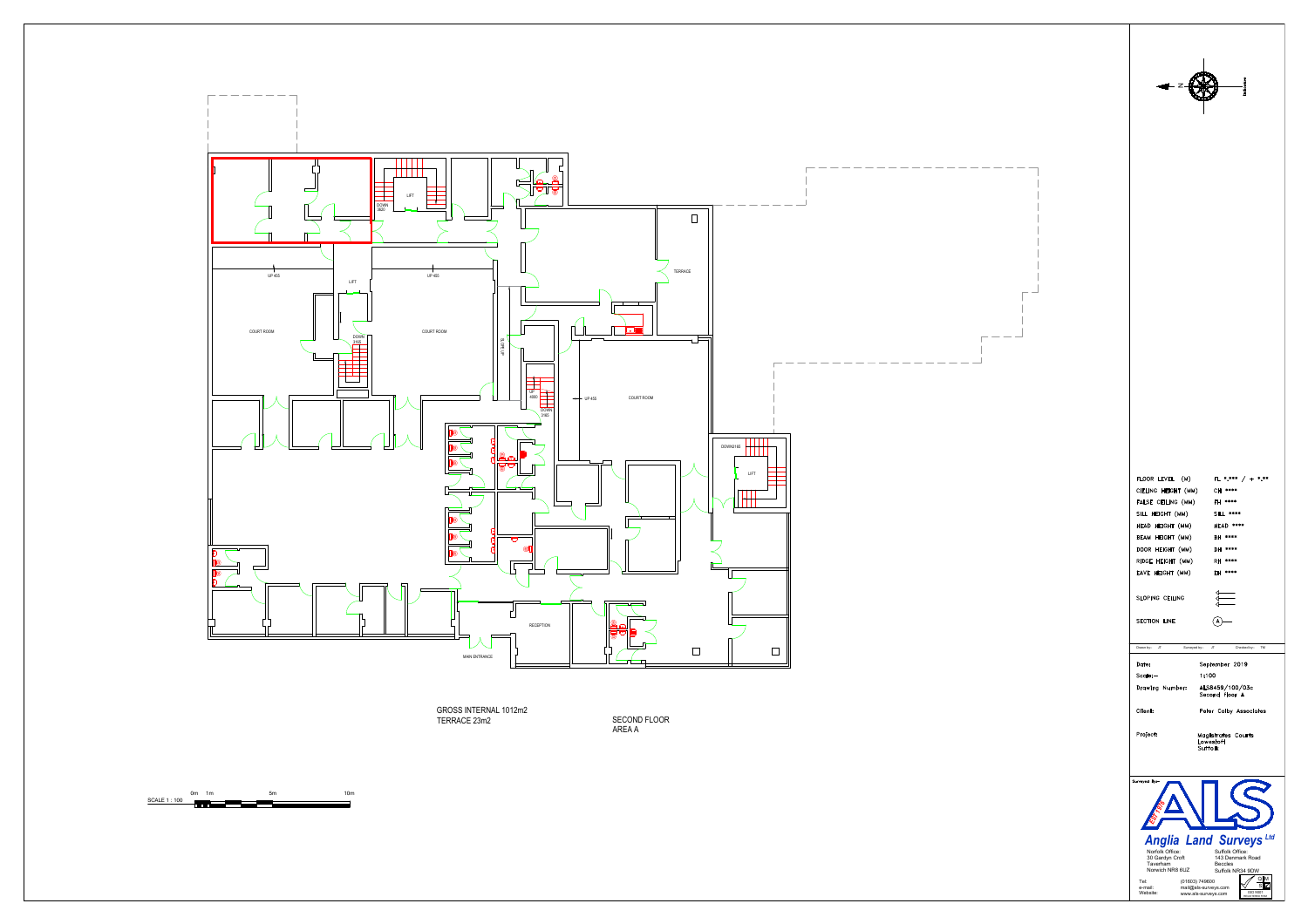

|<br>|<br>|

SECOND FLOOR

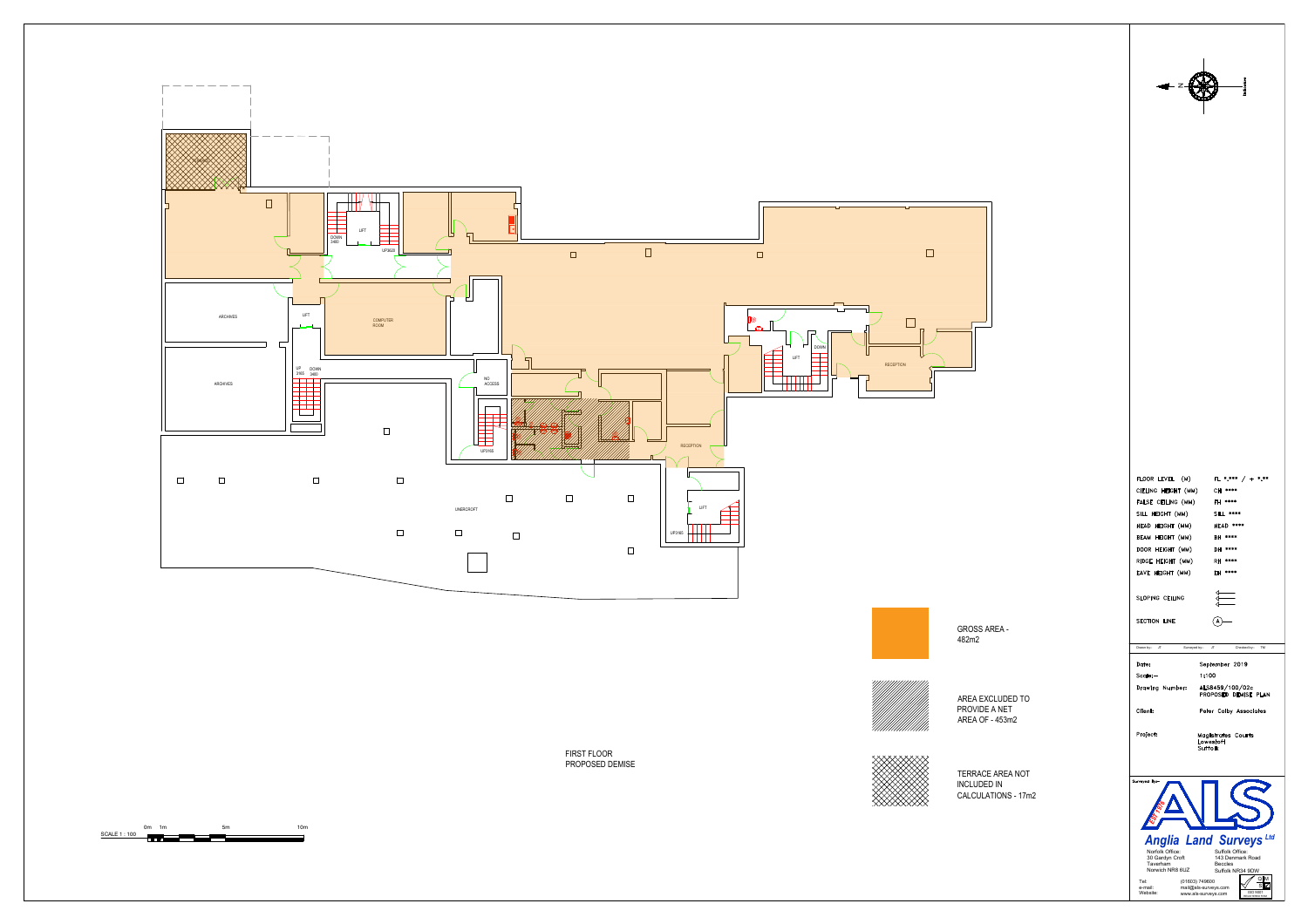

|<br>|<br>|

![](_page_3_Picture_6.jpeg)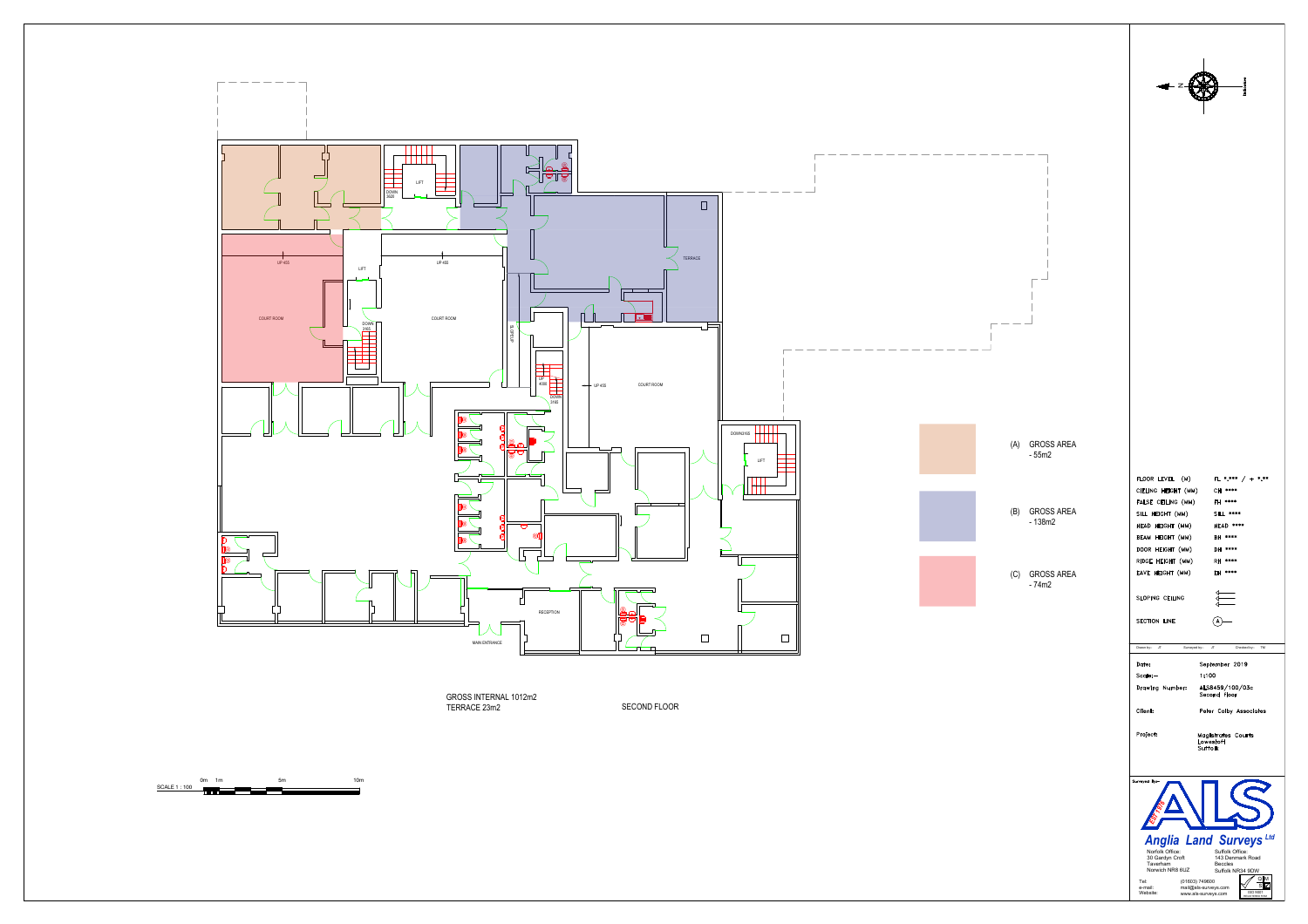SECOND FLOOR

![](_page_4_Figure_0.jpeg)

|<br>|<br>|

![](_page_4_Picture_4.jpeg)

![](_page_4_Picture_6.jpeg)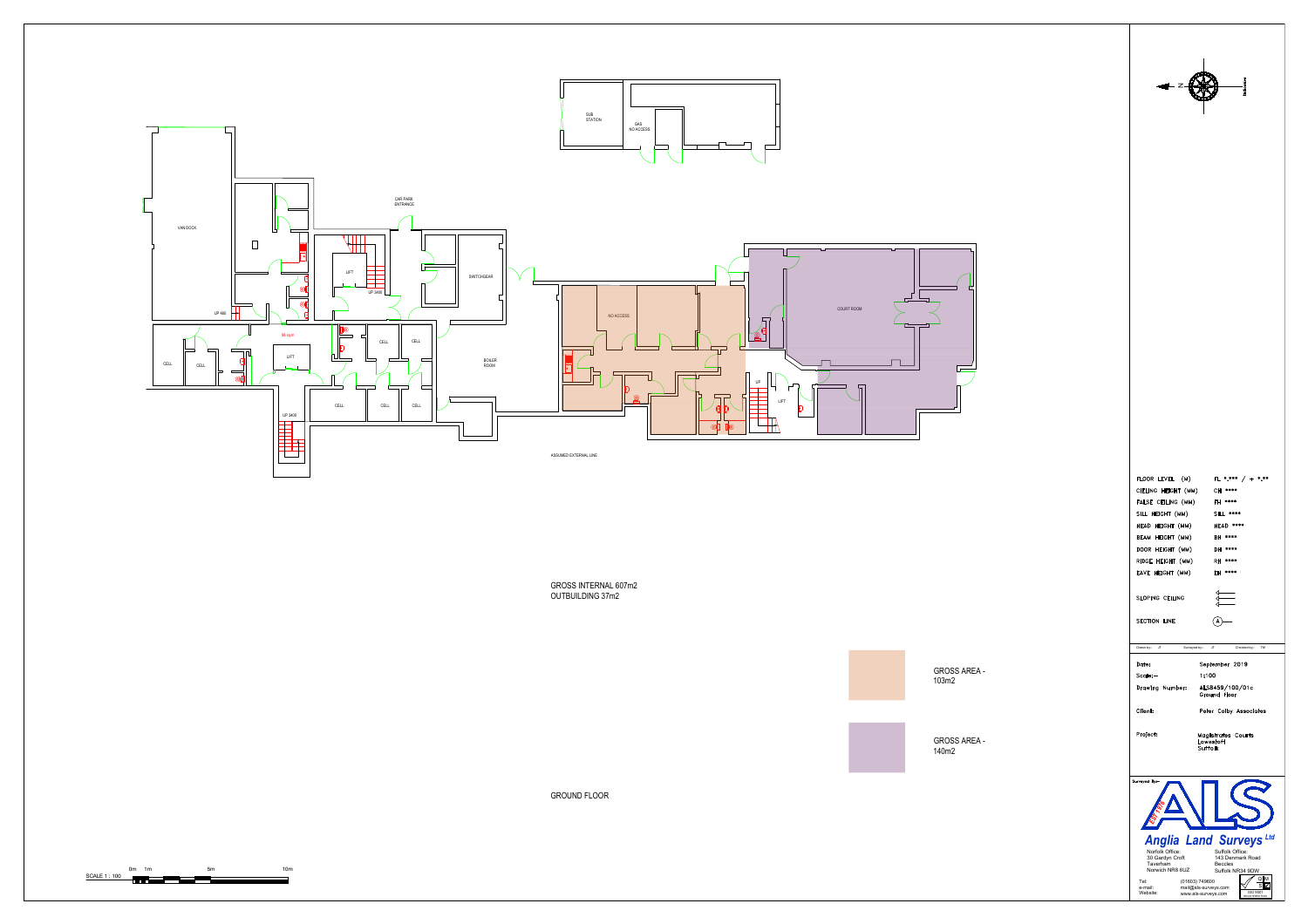![](_page_5_Figure_0.jpeg)

## |<br>|<br>|

![](_page_5_Figure_2.jpeg)

![](_page_5_Picture_10.jpeg)